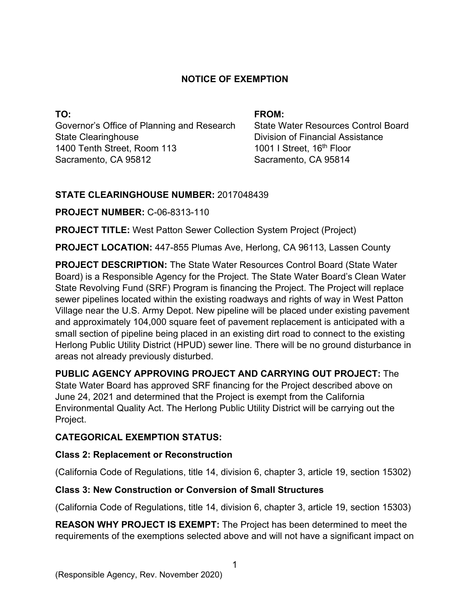### **NOTICE OF EXEMPTION**

**TO:**  Governor's Office of Planning and Research State Clearinghouse 1400 Tenth Street, Room 113 Sacramento, CA 95812

#### **FROM:**

State Water Resources Control Board Division of Financial Assistance 1001 I Street, 16<sup>th</sup> Floor Sacramento, CA 95814

### **STATE CLEARINGHOUSE NUMBER:** 2017048439

**PROJECT NUMBER:** C-06-8313-110

**PROJECT TITLE:** West Patton Sewer Collection System Project (Project)

**PROJECT LOCATION:** 447-855 Plumas Ave, Herlong, CA 96113, Lassen County

**PROJECT DESCRIPTION:** The State Water Resources Control Board (State Water Board) is a Responsible Agency for the Project. The State Water Board's Clean Water State Revolving Fund (SRF) Program is financing the Project. The Project will replace sewer pipelines located within the existing roadways and rights of way in West Patton Village near the U.S. Army Depot. New pipeline will be placed under existing pavement and approximately 104,000 square feet of pavement replacement is anticipated with a small section of pipeline being placed in an existing dirt road to connect to the existing Herlong Public Utility District (HPUD) sewer line. There will be no ground disturbance in areas not already previously disturbed.

**PUBLIC AGENCY APPROVING PROJECT AND CARRYING OUT PROJECT:** The State Water Board has approved SRF financing for the Project described above on June 24, 2021 and determined that the Project is exempt from the California Environmental Quality Act. The Herlong Public Utility District will be carrying out the Project.

# **CATEGORICAL EXEMPTION STATUS:**

### **Class 2: Replacement or Reconstruction**

(California Code of Regulations, title 14, division 6, chapter 3, article 19, section 15302)

# **Class 3: New Construction or Conversion of Small Structures**

(California Code of Regulations, title 14, division 6, chapter 3, article 19, section 15303)

**REASON WHY PROJECT IS EXEMPT:** The Project has been determined to meet the requirements of the exemptions selected above and will not have a significant impact on